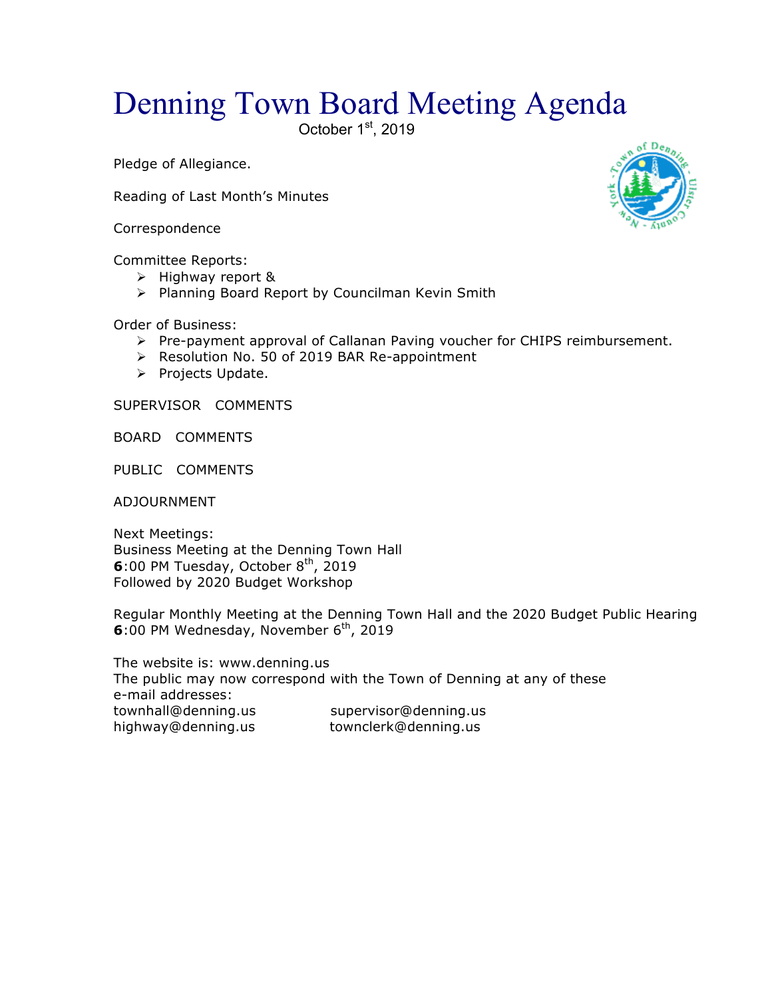## Denning Town Board Meeting Agenda

October 1st, 2019

Pledge of Allegiance.

Reading of Last Month's Minutes

Correspondence

Committee Reports:

- $\triangleright$  Highway report &
- > Planning Board Report by Councilman Kevin Smith

Order of Business:

- $\triangleright$  Pre-payment approval of Callanan Paving voucher for CHIPS reimbursement.
- ▶ Resolution No. 50 of 2019 BAR Re-appointment
- > Projects Update.

SUPERVISOR COMMENTS

BOARD COMMENTS

PUBLIC COMMENTS

ADJOURNMENT

Next Meetings: Business Meeting at the Denning Town Hall **6**:00 PM Tuesday, October 8<sup>th</sup>, 2019 Followed by 2020 Budget Workshop

Regular Monthly Meeting at the Denning Town Hall and the 2020 Budget Public Hearing **6**:00 PM Wednesday, November 6<sup>th</sup>, 2019

The website is: www.denning.us The public may now correspond with the Town of Denning at any of these e-mail addresses: townhall@denning.us supervisor@denning.us highway@denning.us townclerk@denning.us